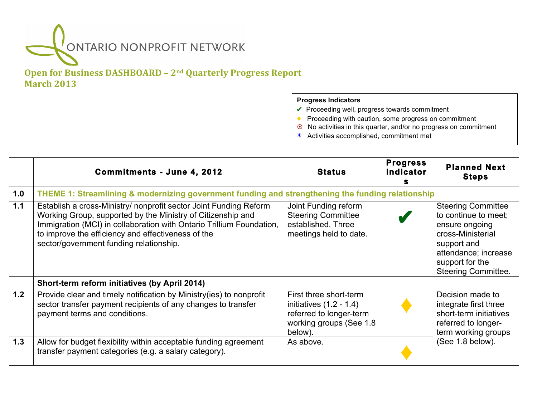## ONTARIO NONPROFIT NETWORK

## **Open for Business DASHBOARD – 2<sup>nd</sup> Quarterly Progress Report March 2013**

## **Progress Indicators**

- **✔** Proceeding well, progress towards commitment
- ♦ Proceeding with caution, some progress on commitment
- ! No activities in this quarter, and/or no progress on commitment
- ☀ Activities accomplished, commitment met

|     | <b>Commitments - June 4, 2012</b>                                                                                                                                                                                                                                                                         | <b>Status</b>                                                                                                        | <b>Progress</b><br>Indicator | <b>Planned Next</b><br><b>Steps</b>                                                                                                                                              |
|-----|-----------------------------------------------------------------------------------------------------------------------------------------------------------------------------------------------------------------------------------------------------------------------------------------------------------|----------------------------------------------------------------------------------------------------------------------|------------------------------|----------------------------------------------------------------------------------------------------------------------------------------------------------------------------------|
| 1.0 | THEME 1: Streamlining & modernizing government funding and strengthening the funding relationship                                                                                                                                                                                                         |                                                                                                                      |                              |                                                                                                                                                                                  |
| 1.1 | Establish a cross-Ministry/ nonprofit sector Joint Funding Reform<br>Working Group, supported by the Ministry of Citizenship and<br>Immigration (MCI) in collaboration with Ontario Trillium Foundation,<br>to improve the efficiency and effectiveness of the<br>sector/government funding relationship. | Joint Funding reform<br><b>Steering Committee</b><br>established. Three<br>meetings held to date.                    |                              | <b>Steering Committee</b><br>to continue to meet;<br>ensure ongoing<br>cross-Ministerial<br>support and<br>attendance; increase<br>support for the<br><b>Steering Committee.</b> |
|     | Short-term reform initiatives (by April 2014)                                                                                                                                                                                                                                                             |                                                                                                                      |                              |                                                                                                                                                                                  |
| 1.2 | Provide clear and timely notification by Ministry (ies) to nonprofit<br>sector transfer payment recipients of any changes to transfer<br>payment terms and conditions.                                                                                                                                    | First three short-term<br>initiatives $(1.2 - 1.4)$<br>referred to longer-term<br>working groups (See 1.8<br>below). |                              | Decision made to<br>integrate first three<br>short-term initiatives<br>referred to longer-<br>term working groups                                                                |
| 1.3 | Allow for budget flexibility within acceptable funding agreement<br>transfer payment categories (e.g. a salary category).                                                                                                                                                                                 | As above.                                                                                                            |                              | (See 1.8 below).                                                                                                                                                                 |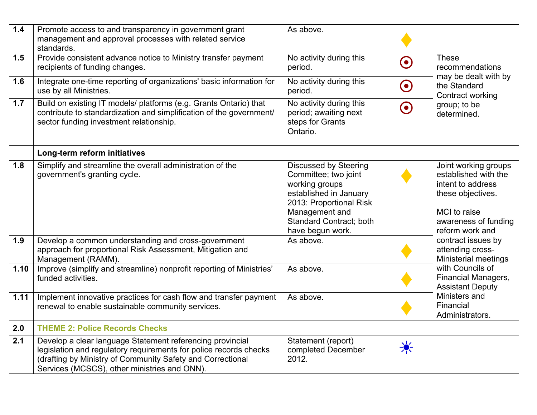| $1.4$ | Promote access to and transparency in government grant<br>management and approval processes with related service<br>standards.                                                                                                               | As above.                                                                                                                                                                                           |                      |                                                                                                                                                                                              |
|-------|----------------------------------------------------------------------------------------------------------------------------------------------------------------------------------------------------------------------------------------------|-----------------------------------------------------------------------------------------------------------------------------------------------------------------------------------------------------|----------------------|----------------------------------------------------------------------------------------------------------------------------------------------------------------------------------------------|
| 1.5   | Provide consistent advance notice to Ministry transfer payment<br>recipients of funding changes.                                                                                                                                             | No activity during this<br>period.                                                                                                                                                                  | $\boldsymbol{\odot}$ | <b>These</b><br>recommendations<br>may be dealt with by<br>the Standard<br>Contract working                                                                                                  |
| 1.6   | Integrate one-time reporting of organizations' basic information for<br>use by all Ministries.                                                                                                                                               | No activity during this<br>period.                                                                                                                                                                  | $\boldsymbol{\odot}$ |                                                                                                                                                                                              |
| 1.7   | Build on existing IT models/ platforms (e.g. Grants Ontario) that<br>contribute to standardization and simplification of the government/<br>sector funding investment relationship.                                                          | No activity during this<br>period; awaiting next<br>steps for Grants<br>Ontario.                                                                                                                    | $\boldsymbol{\odot}$ | group; to be<br>determined.                                                                                                                                                                  |
|       | Long-term reform initiatives                                                                                                                                                                                                                 |                                                                                                                                                                                                     |                      |                                                                                                                                                                                              |
| 1.8   | Simplify and streamline the overall administration of the<br>government's granting cycle.                                                                                                                                                    | <b>Discussed by Steering</b><br>Committee; two joint<br>working groups<br>established in January<br>2013: Proportional Risk<br>Management and<br><b>Standard Contract; both</b><br>have begun work. |                      | Joint working groups<br>established with the<br>intent to address<br>these objectives.<br>MCI to raise<br>awareness of funding<br>reform work and                                            |
| 1.9   | Develop a common understanding and cross-government<br>approach for proportional Risk Assessment, Mitigation and<br>Management (RAMM).                                                                                                       | As above.                                                                                                                                                                                           |                      | contract issues by<br>attending cross-<br>Ministerial meetings<br>with Councils of<br><b>Financial Managers,</b><br><b>Assistant Deputy</b><br>Ministers and<br>Financial<br>Administrators. |
| 1.10  | Improve (simplify and streamline) nonprofit reporting of Ministries'<br>funded activities.                                                                                                                                                   | As above.                                                                                                                                                                                           |                      |                                                                                                                                                                                              |
| 1.11  | Implement innovative practices for cash flow and transfer payment<br>renewal to enable sustainable community services.                                                                                                                       | As above.                                                                                                                                                                                           |                      |                                                                                                                                                                                              |
| 2.0   | <b>THEME 2: Police Records Checks</b>                                                                                                                                                                                                        |                                                                                                                                                                                                     |                      |                                                                                                                                                                                              |
| 2.1   | Develop a clear language Statement referencing provincial<br>legislation and regulatory requirements for police records checks<br>(drafting by Ministry of Community Safety and Correctional<br>Services (MCSCS), other ministries and ONN). | Statement (report)<br>completed December<br>2012.                                                                                                                                                   |                      |                                                                                                                                                                                              |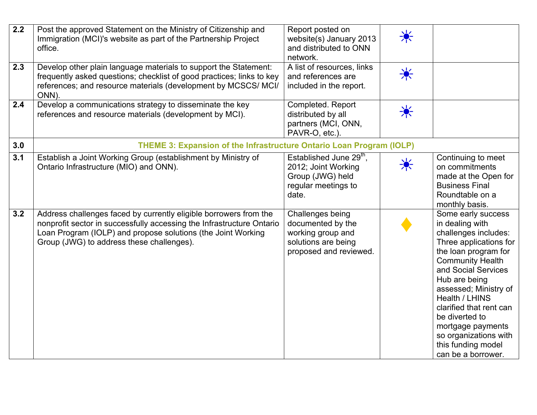| $\overline{2.2}$<br>2.3 | Post the approved Statement on the Ministry of Citizenship and<br>Immigration (MCI)'s website as part of the Partnership Project<br>office.<br>Develop other plain language materials to support the Statement:<br>frequently asked questions; checklist of good practices; links to key<br>references; and resource materials (development by MCSCS/ MCI/<br>ONN). | Report posted on<br>website(s) January 2013<br>and distributed to ONN<br>network.<br>A list of resources, links<br>and references are<br>included in the report. | 美<br>美 |                                                                                                                                                                                                                                                                                                                                                                      |
|-------------------------|---------------------------------------------------------------------------------------------------------------------------------------------------------------------------------------------------------------------------------------------------------------------------------------------------------------------------------------------------------------------|------------------------------------------------------------------------------------------------------------------------------------------------------------------|--------|----------------------------------------------------------------------------------------------------------------------------------------------------------------------------------------------------------------------------------------------------------------------------------------------------------------------------------------------------------------------|
| 2.4                     | Develop a communications strategy to disseminate the key<br>references and resource materials (development by MCI).                                                                                                                                                                                                                                                 | Completed. Report<br>distributed by all<br>partners (MCI, ONN,<br>PAVR-O, etc.).                                                                                 | 美      |                                                                                                                                                                                                                                                                                                                                                                      |
| 3.0                     | THEME 3: Expansion of the Infrastructure Ontario Loan Program (IOLP)                                                                                                                                                                                                                                                                                                |                                                                                                                                                                  |        |                                                                                                                                                                                                                                                                                                                                                                      |
| 3.1                     | Establish a Joint Working Group (establishment by Ministry of<br>Ontario Infrastructure (MIO) and ONN).                                                                                                                                                                                                                                                             | Established June 29 <sup>th</sup> ,<br>2012; Joint Working<br>Group (JWG) held<br>regular meetings to<br>date.                                                   | 美      | Continuing to meet<br>on commitments<br>made at the Open for<br><b>Business Final</b><br>Roundtable on a<br>monthly basis.                                                                                                                                                                                                                                           |
| 3.2                     | Address challenges faced by currently eligible borrowers from the<br>nonprofit sector in successfully accessing the Infrastructure Ontario<br>Loan Program (IOLP) and propose solutions (the Joint Working<br>Group (JWG) to address these challenges).                                                                                                             | Challenges being<br>documented by the<br>working group and<br>solutions are being<br>proposed and reviewed.                                                      |        | Some early success<br>in dealing with<br>challenges includes:<br>Three applications for<br>the loan program for<br><b>Community Health</b><br>and Social Services<br>Hub are being<br>assessed; Ministry of<br>Health / LHINS<br>clarified that rent can<br>be diverted to<br>mortgage payments<br>so organizations with<br>this funding model<br>can be a borrower. |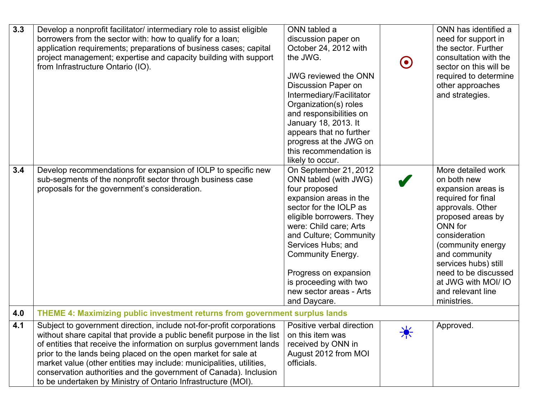| 3.3<br>3.4 | Develop a nonprofit facilitator/ intermediary role to assist eligible<br>borrowers from the sector with: how to qualify for a loan;<br>application requirements; preparations of business cases; capital<br>project management; expertise and capacity building with support<br>from Infrastructure Ontario (IO).<br>Develop recommendations for expansion of IOLP to specific new                                                                                                                      | ONN tabled a<br>discussion paper on<br>October 24, 2012 with<br>the JWG.<br><b>JWG reviewed the ONN</b><br><b>Discussion Paper on</b><br>Intermediary/Facilitator<br>Organization(s) roles<br>and responsibilities on<br>January 18, 2013. It<br>appears that no further<br>progress at the JWG on<br>this recommendation is<br>likely to occur.<br>On September 21, 2012 | $\boldsymbol{\Theta}$ | ONN has identified a<br>need for support in<br>the sector. Further<br>consultation with the<br>sector on this will be<br>required to determine<br>other approaches<br>and strategies.<br>More detailed work                                                                   |  |
|------------|---------------------------------------------------------------------------------------------------------------------------------------------------------------------------------------------------------------------------------------------------------------------------------------------------------------------------------------------------------------------------------------------------------------------------------------------------------------------------------------------------------|---------------------------------------------------------------------------------------------------------------------------------------------------------------------------------------------------------------------------------------------------------------------------------------------------------------------------------------------------------------------------|-----------------------|-------------------------------------------------------------------------------------------------------------------------------------------------------------------------------------------------------------------------------------------------------------------------------|--|
|            | sub-segments of the nonprofit sector through business case<br>proposals for the government's consideration.                                                                                                                                                                                                                                                                                                                                                                                             | ONN tabled (with JWG)<br>four proposed<br>expansion areas in the<br>sector for the IOLP as<br>eligible borrowers. They<br>were: Child care; Arts<br>and Culture; Community<br>Services Hubs; and<br><b>Community Energy.</b><br>Progress on expansion<br>is proceeding with two<br>new sector areas - Arts<br>and Daycare.                                                |                       | on both new<br>expansion areas is<br>required for final<br>approvals. Other<br>proposed areas by<br>ONN for<br>consideration<br>(community energy<br>and community<br>services hubs) still<br>need to be discussed<br>at JWG with MOI/ IO<br>and relevant line<br>ministries. |  |
| 4.0        | THEME 4: Maximizing public investment returns from government surplus lands                                                                                                                                                                                                                                                                                                                                                                                                                             |                                                                                                                                                                                                                                                                                                                                                                           |                       |                                                                                                                                                                                                                                                                               |  |
| 4.1        | Subject to government direction, include not-for-profit corporations<br>without share capital that provide a public benefit purpose in the list<br>of entities that receive the information on surplus government lands<br>prior to the lands being placed on the open market for sale at<br>market value (other entities may include: municipalities, utilities,<br>conservation authorities and the government of Canada). Inclusion<br>to be undertaken by Ministry of Ontario Infrastructure (MOI). | Positive verbal direction<br>on this item was<br>received by ONN in<br>August 2012 from MOI<br>officials.                                                                                                                                                                                                                                                                 | $\frac{1}{\sqrt{2}}$  | Approved.                                                                                                                                                                                                                                                                     |  |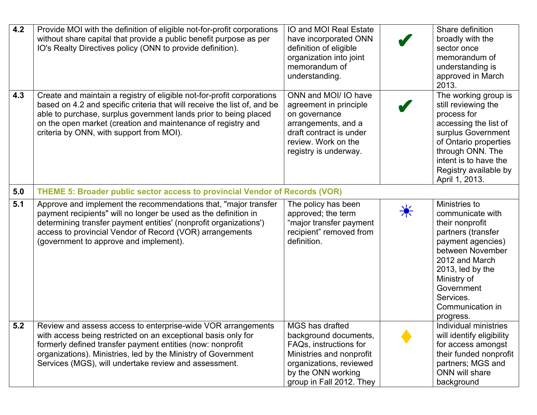| 4.2 | Provide MOI with the definition of eligible not-for-profit corporations<br>without share capital that provide a public benefit purpose as per<br>IO's Realty Directives policy (ONN to provide definition).                                                                                                                        | IO and MOI Real Estate<br>have incorporated ONN<br>definition of eligible<br>organization into joint<br>memorandum of<br>understanding.                                     |              | Share definition<br>broadly with the<br>sector once<br>memorandum of<br>understanding is<br>approved in March<br>2013.                                                                                                                  |
|-----|------------------------------------------------------------------------------------------------------------------------------------------------------------------------------------------------------------------------------------------------------------------------------------------------------------------------------------|-----------------------------------------------------------------------------------------------------------------------------------------------------------------------------|--------------|-----------------------------------------------------------------------------------------------------------------------------------------------------------------------------------------------------------------------------------------|
| 4.3 | Create and maintain a registry of eligible not-for-profit corporations<br>based on 4.2 and specific criteria that will receive the list of, and be<br>able to purchase, surplus government lands prior to being placed<br>on the open market (creation and maintenance of registry and<br>criteria by ONN, with support from MOI). | ONN and MOI/ IO have<br>agreement in principle<br>on governance<br>arrangements, and a<br>draft contract is under<br>review. Work on the<br>registry is underway.           |              | The working group is<br>still reviewing the<br>process for<br>accessing the list of<br>surplus Government<br>of Ontario properties<br>through ONN. The<br>intent is to have the<br>Registry available by<br>April 1, 2013.              |
| 5.0 | THEME 5: Broader public sector access to provincial Vendor of Records (VOR)                                                                                                                                                                                                                                                        |                                                                                                                                                                             |              |                                                                                                                                                                                                                                         |
| 5.1 | Approve and implement the recommendations that, "major transfer"<br>payment recipients" will no longer be used as the definition in<br>determining transfer payment entities' (nonprofit organizations')<br>access to provincial Vendor of Record (VOR) arrangements<br>(government to approve and implement).                     | The policy has been<br>approved; the term<br>"major transfer payment<br>recipient" removed from<br>definition.                                                              | <del>┆</del> | Ministries to<br>communicate with<br>their nonprofit<br>partners (transfer<br>payment agencies)<br>between November<br>2012 and March<br>$2013$ , led by the<br>Ministry of<br>Government<br>Services.<br>Communication in<br>progress. |
| 5.2 | Review and assess access to enterprise-wide VOR arrangements<br>with access being restricted on an exceptional basis only for<br>formerly defined transfer payment entities (now: nonprofit<br>organizations). Ministries, led by the Ministry of Government<br>Services (MGS), will undertake review and assessment.              | MGS has drafted<br>background documents,<br>FAQs, instructions for<br>Ministries and nonprofit<br>organizations, reviewed<br>by the ONN working<br>group in Fall 2012. They |              | Individual ministries<br>will identify eligibility<br>for access amongst<br>their funded nonprofit<br>partners; MGS and<br>ONN will share<br>background                                                                                 |